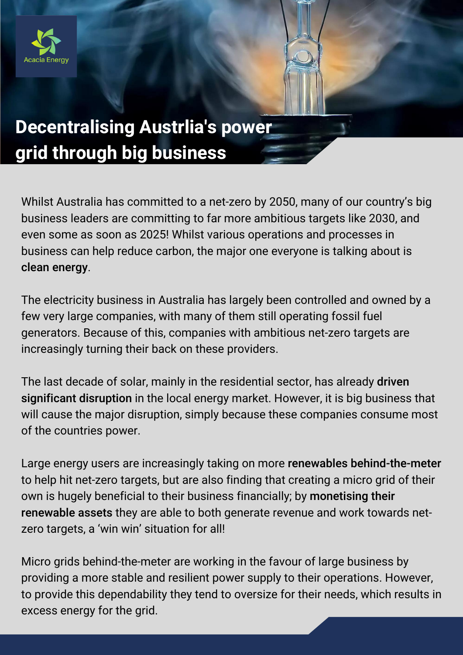

## **Decentralising Austrlia's power grid through big business**

Whilst Australia has committed to a net-zero by 2050, many of our country's big business leaders are committing to far more ambitious targets like 2030, and even some as soon as 2025! Whilst various operations and processes in business can help reduce carbon, the major one everyone is talking about is clean energy.

The electricity business in Australia has largely been controlled and owned by a few very large companies, with many of them still operating fossil fuel generators. Because of this, companies with ambitious net-zero targets are increasingly turning their back on these providers.

The last decade of solar, mainly in the residential sector, has already driven significant disruption in the local energy market. However, it is big business that will cause the major disruption, simply because these companies consume most of the countries power.

Large energy users are increasingly taking on more renewables behind-the-meter to help hit net-zero targets, but are also finding that creating a micro grid of their own is hugely beneficial to their business financially; by monetising their renewable assets they are able to both generate revenue and work towards netzero targets, a 'win win' situation for all!

Micro grids behind-the-meter are working in the favour of large business by providing a more stable and resilient power supply to their operations. However, to provide this dependability they tend to oversize for their needs, which results in excess energy for the grid.